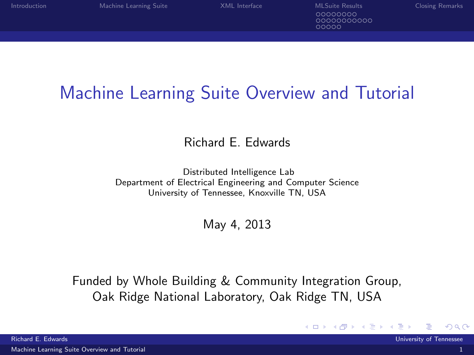◂**◻▸ ◂<del>ਗ਼</del>▸** 

00000000 0000000000  $00000$ 

## Machine Learning Suite Overview and Tutorial

Richard E. Edwards

Distributed Intelligence Lab Department of Electrical Engineering and Computer Science University of Tennessee, Knoxville TN, USA

May 4, 2013

Funded by Whole Building & Community Integration Group, Oak Ridge National Laboratory, Oak Ridge TN, USA

<span id="page-0-0"></span> $\Omega$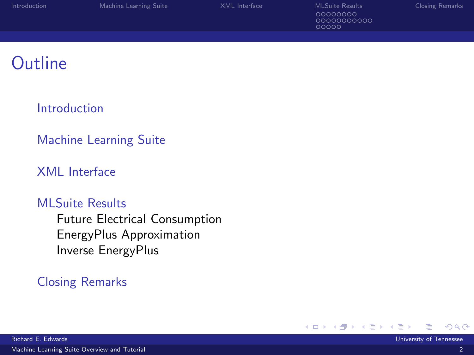| Introduction | Machine Learning Suite | XML Interface | <b>MLSuite Results</b>          | <b>Closing Remarks</b> |
|--------------|------------------------|---------------|---------------------------------|------------------------|
|              |                        |               | 00000000<br>0000000000<br>00000 |                        |
|              |                        |               |                                 |                        |

#### **Outline**

#### [Introduction](#page-2-0)

#### [Machine Learning Suite](#page-11-0)

#### [XML Interface](#page-20-0)

#### [MLSuite Results](#page-27-0)

[Future Electrical Consumption](#page-28-0) [EnergyPlus Approximation](#page-36-0) [Inverse EnergyPlus](#page-47-0)

#### [Closing Remarks](#page-52-0)

4 0 8 **A**   $QQ$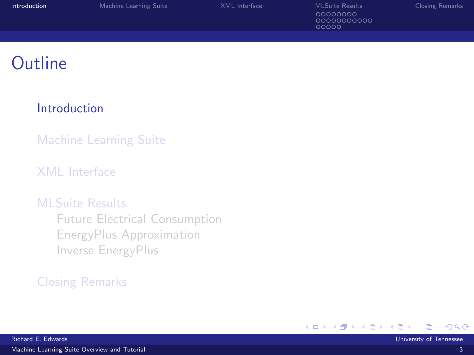| <b>Introduction</b> | Machine Learning Suite | XML Interface | <b>MLSuite Results</b>          | <b>Closing Remarks</b> |
|---------------------|------------------------|---------------|---------------------------------|------------------------|
|                     |                        |               | 00000000<br>0000000000<br>00000 |                        |
|                     |                        |               |                                 |                        |

### **Outline**

#### [Introduction](#page-2-0)

[Machine Learning Suite](#page-11-0)

#### [XML Interface](#page-20-0)

#### [MLSuite Results](#page-27-0)

[Future Electrical Consumption](#page-28-0) [EnergyPlus Approximation](#page-36-0) [Inverse EnergyPlus](#page-47-0)

#### [Closing Remarks](#page-52-0)

K □ ▶ K 倒 ▶

 $\rightarrow$ ほうしゅ 国 <span id="page-2-0"></span> $QQ$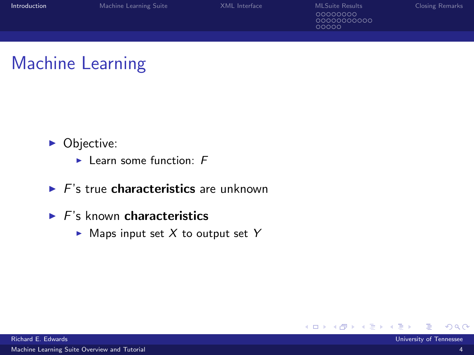| <b>Introduction</b> | Machine Learning Suite | XMI Interface | MI Suite Results                | <b>Closing Remarks</b> |
|---------------------|------------------------|---------------|---------------------------------|------------------------|
|                     |                        |               | 00000000<br>0000000000<br>00000 |                        |
|                     |                        |               |                                 |                        |

### Machine Learning

- Objective:
	- $\blacktriangleright$  Learn some function: F
- $\blacktriangleright$  F's true characteristics are unknown
- $\blacktriangleright$  F's known characteristics
	- $\blacktriangleright$  Maps input set X to output set Y

**∢ ロ ▶ - ィ <sub>印</sub>** 

 $\Omega$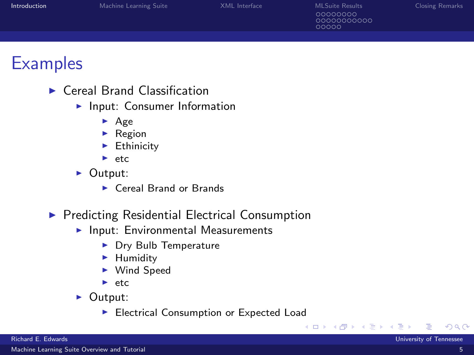| <b>Introduction</b> | Machine Learning Suite | XML Interface | MLSuite Results<br>00000000<br>00000000000<br>00000 | Closing Remarks |
|---------------------|------------------------|---------------|-----------------------------------------------------|-----------------|
|                     |                        |               |                                                     |                 |
|                     |                        |               |                                                     |                 |

#### **Examples**

- $\blacktriangleright$  Cereal Brand Classification
	- $\blacktriangleright$  Input: Consumer Information
		- $\blacktriangleright$  Age
		- $\blacktriangleright$  Region
		- $\blacktriangleright$  Ethinicity
		- $\blacktriangleright$  etc.
	- $\triangleright$  Output:
		- $\blacktriangleright$  Cereal Brand or Brands
- $\blacktriangleright$  Predicting Residential Electrical Consumption
	- $\blacktriangleright$  Input: Environmental Measurements
		- ▶ Dry Bulb Temperature
		- $\blacktriangleright$  Humidity
		- ▶ Wind Speed
		- $\blacktriangleright$  etc.
	- $\triangleright$  Output:
		- Electrical Consumption or Expected Load

4 0 8

 $\Omega$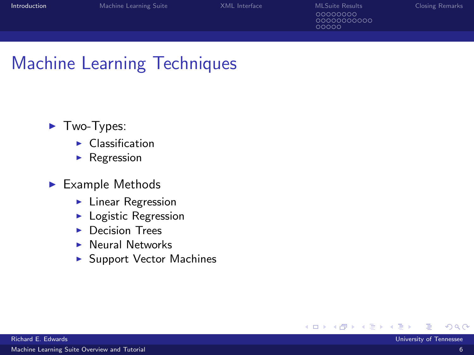0000000000 aaaaa

**∢ □ ▶ ⊣ ∈ ▶** 

### Machine Learning Techniques

- $\blacktriangleright$  Two-Types:
	- $\blacktriangleright$  Classification
	- $\blacktriangleright$  Regression
- $\blacktriangleright$  Example Methods
	- $\blacktriangleright$  Linear Regression
	- $\blacktriangleright$  Logistic Regression
	- $\blacktriangleright$  Decision Trees
	- $\blacktriangleright$  Neural Networks
	- $\blacktriangleright$  Support Vector Machines

×

 $QQ$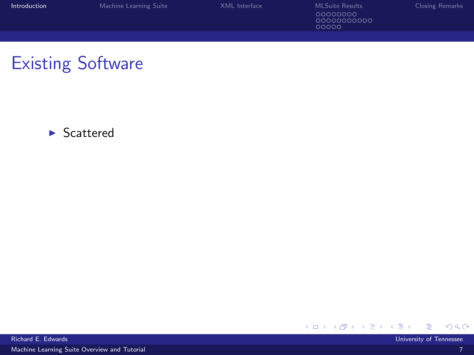| <b>Introduction</b> | Machine Learning Suite | XMI Interface | MI Suite Results                 | <b>Closing Remarks</b> |
|---------------------|------------------------|---------------|----------------------------------|------------------------|
|                     |                        |               | 00000000<br>00000000000<br>nnnnn |                        |
|                     |                        |               |                                  |                        |

## Existing Software

 $\blacktriangleright$  Scattered



[Machine Learning Suite Overview and Tutorial](#page-0-0) 7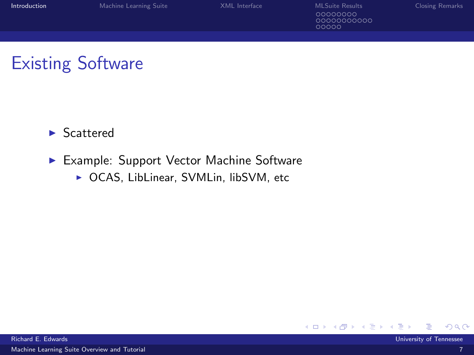| <b>Introduction</b> | Machine Learning Suite | XMI Interface | MI Suite Results                | Closing Remarks |
|---------------------|------------------------|---------------|---------------------------------|-----------------|
|                     |                        |               | 00000000<br>0000000000<br>ooooo |                 |
|                     |                        |               |                                 |                 |

### Existing Software

 $\blacktriangleright$  Scattered

- ▶ Example: Support Vector Machine Software
	- ▶ OCAS, LibLinear, SVMLin, libSVM, etc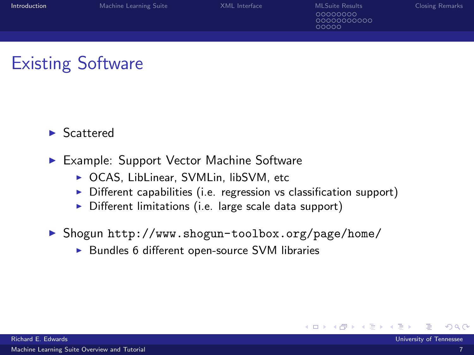## Existing Software

- **Scattered**
- ► Example: Support Vector Machine Software
	- ▶ OCAS, LibLinear, SVMLin, libSVM, etc
	- $\triangleright$  Different capabilities (i.e. regression vs classification support)
	- $\triangleright$  Different limitations (i.e. large scale data support)
- ▶ Shogun <http://www.shogun-toolbox.org/page/home/>
	- $\triangleright$  Bundles 6 different open-source SVM libraries

**∢ ロ ▶ - ィ <sub>印</sub>**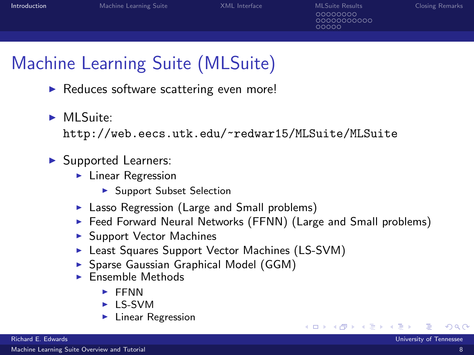nnnnn

# Machine Learning Suite (MLSuite)

- $\blacktriangleright$  Reduces software scattering even more!
- $Ml$  Suite:

<http://web.eecs.utk.edu/~redwar15/MLSuite/MLSuite>

#### $\blacktriangleright$  Supported Learners:

- $\blacktriangleright$  Linear Regression
	- ▶ Support Subset Selection
- $\blacktriangleright$  Lasso Regression (Large and Small problems)
- $\triangleright$  Feed Forward Neural Networks (FFNN) (Large and Small problems)
- $\blacktriangleright$  Support Vector Machines
- ► Least Squares Support Vector Machines (LS-SVM)
- **> Sparse Gaussian Graphical Model (GGM)**
- $\blacktriangleright$  Ensemble Methods
	- $\blacktriangleright$  FFNN
	- $\blacktriangleright$  I S-SVM
	- $\blacktriangleright$  Linear Regression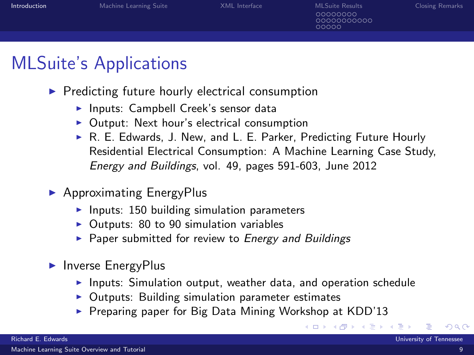| <b>Introduction</b> | Machine Learning Suite | XML Interface | MLSuite Results<br>00000000<br>00000000000<br>00000 | <b>Closing Remarks</b> |
|---------------------|------------------------|---------------|-----------------------------------------------------|------------------------|
|                     |                        |               |                                                     |                        |
|                     |                        |               |                                                     |                        |

### MLSuite's Applications

- $\blacktriangleright$  Predicting future hourly electrical consumption
	- $\blacktriangleright$  Inputs: Campbell Creek's sensor data
	- $\triangleright$  Output: Next hour's electrical consumption
	- ▶ R. E. Edwards, J. New, and L. E. Parker, Predicting Future Hourly Residential Electrical Consumption: A Machine Learning Case Study, Energy and Buildings, vol. 49, pages 591-603, June 2012
- $\blacktriangleright$  Approximating EnergyPlus
	- $\blacktriangleright$  Inputs: 150 building simulation parameters
	- $\triangleright$  Outputs: 80 to 90 simulation variables
	- $\triangleright$  Paper submitted for review to Energy and Buildings
- $\blacktriangleright$  Inverse EnergyPlus
	- $\blacktriangleright$  Inputs: Simulation output, weather data, and operation schedule

∢ □ ▶ ⊣ <sup>⊖</sup>

- $\triangleright$  Outputs: Building simulation parameter estimates
- $\triangleright$  Preparing paper for Big Data Mining Workshop at KDD'13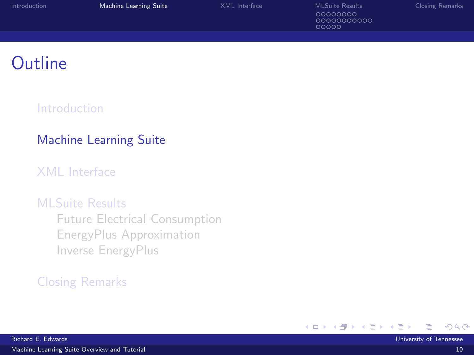| Introduction | Machine Learning Suite | XML Interface | <b>MLSuite Results</b>           | <b>Closing Remarks</b> |
|--------------|------------------------|---------------|----------------------------------|------------------------|
|              |                        |               | 00000000<br>00000000000<br>00000 |                        |
|              |                        |               |                                  |                        |

### **Outline**

#### [Introduction](#page-2-0)

#### [Machine Learning Suite](#page-11-0)

#### [XML Interface](#page-20-0)

#### [MLSuite Results](#page-27-0)

[Future Electrical Consumption](#page-28-0) [EnergyPlus Approximation](#page-36-0) [Inverse EnergyPlus](#page-47-0)

#### [Closing Remarks](#page-52-0)

<span id="page-11-0"></span>ヨメ イヨ ×.

K □ ▶ K 倒 ▶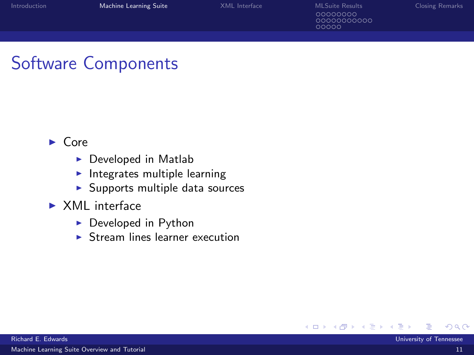| Introduction | Machine Learning Suite | XMI Interface | <b>MI Suite Results</b>          | <b>Closing Remarks</b> |
|--------------|------------------------|---------------|----------------------------------|------------------------|
|              |                        |               | 00000000<br>00000000000<br>೧೧೧೧೧ |                        |
|              |                        |               |                                  |                        |

## Software Components

- $\blacktriangleright$  Core
	- $\blacktriangleright$  Developed in Matlab
	- $\blacktriangleright$  Integrates multiple learning
	- $\blacktriangleright$  Supports multiple data sources
- $\triangleright$  XML interface
	- $\triangleright$  Developed in Python
	- $\triangleright$  Stream lines learner execution

**∢ ロ ▶ - ィ <sub>印</sub>**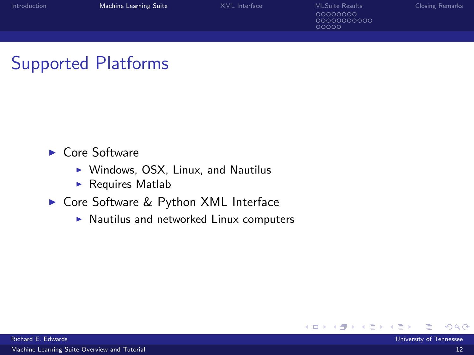| <b>Introduction</b> | Machine Learning Suite | XMI Interface | MI Suite Results                 | Closing Remarks |
|---------------------|------------------------|---------------|----------------------------------|-----------------|
|                     |                        |               | 00000000<br>00000000000<br>00000 |                 |
|                     |                        |               |                                  |                 |

### Supported Platforms

- $\blacktriangleright$  Core Software
	- $\triangleright$  Windows, OSX, Linux, and Nautilus
	- $\blacktriangleright$  Requires Matlab
- ▶ Core Software & Python XML Interface
	- $\blacktriangleright$  Nautilus and networked Linux computers

4 0 8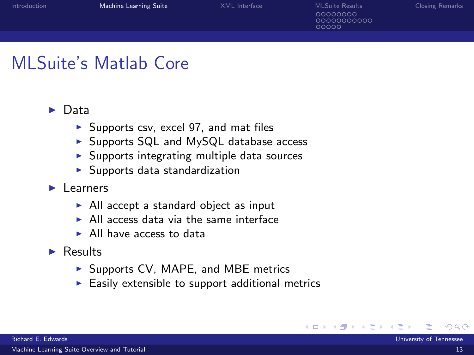### MLSuite's Matlab Core

#### $\triangleright$  Data

- $\triangleright$  Supports csv, excel 97, and mat files
- $\triangleright$  Supports SQL and MySQL database access
- $\triangleright$  Supports integrating multiple data sources
- $\blacktriangleright$  Supports data standardization
- $\blacktriangleright$  Learners
	- $\triangleright$  All accept a standard object as input
	- $\triangleright$  All access data via the same interface
	- $\blacktriangleright$  All have access to data
- $\triangleright$  Results
	- $\triangleright$  Supports CV, MAPE, and MBE metrics
	- $\blacktriangleright$  Easily extensible to support additional metrics

**∢ ロ ▶ - ィ <sub>印</sub>**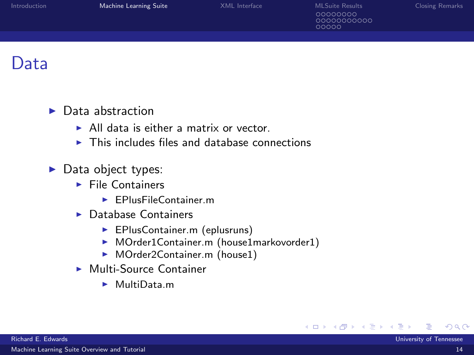| Introduction | Machine Learning Suite | XML Interface | <b>MLSuite Results</b><br>00000000<br>0000000000<br>00000 | <b>Closing Remarks</b> |
|--------------|------------------------|---------------|-----------------------------------------------------------|------------------------|
|              |                        |               |                                                           |                        |
|              |                        |               |                                                           |                        |

#### Data

#### $\blacktriangleright$  Data abstraction

- $\blacktriangleright$  All data is either a matrix or vector.
- $\triangleright$  This includes files and database connections

#### $\blacktriangleright$  Data object types:

- $\blacktriangleright$  File Containers
	- $\blacktriangleright$  EPlusFileContainer.m
- $\blacktriangleright$  Database Containers
	- **EPlusContainer.m (eplusruns)**
	- ▶ MOrder1Container.m (house1markovorder1)
	- ▶ MOrder2Container.m (house1)
- $\blacktriangleright$  Multi-Source Container
	- $\blacktriangleright$  MultiData.m

**∢ ロ ▶ - ィ <sub>印</sub>** 

 $\rightarrow$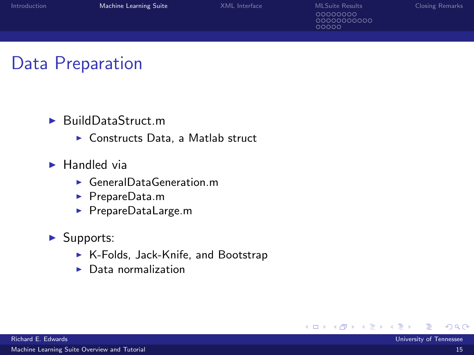| Introduction | Machine Learning Suite | XMI Interface | <b>MLSuite Results</b>           | <b>Closing Remarks</b> |
|--------------|------------------------|---------------|----------------------------------|------------------------|
|              |                        |               | 00000000<br>00000000000<br>ooooo |                        |
|              |                        |               |                                  |                        |

#### Data Preparation

- $\blacktriangleright$  BuildDataStruct.m
	- $\triangleright$  Constructs Data, a Matlab struct
- $\blacktriangleright$  Handled via
	- $\blacktriangleright$  GeneralDataGeneration.m
	- ▶ PrepareData.m
	- ▶ PrepareDataLarge.m
- $\blacktriangleright$  Supports:
	- $\triangleright$  K-Folds, Jack-Knife, and Bootstrap
	- $\blacktriangleright$  Data normalization

4 0 8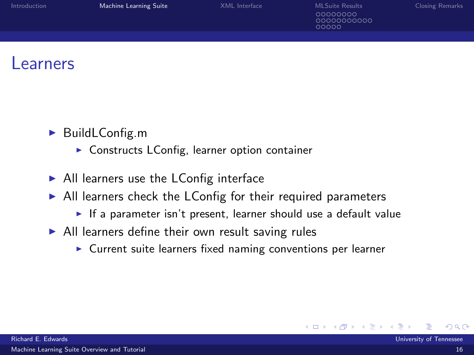| Introduction | Machine Learning Suite | XML Interface | <b>MLSuite Results</b><br>00000000<br>0000000000<br>00000 | <b>Closing Remarks</b> |
|--------------|------------------------|---------------|-----------------------------------------------------------|------------------------|
|              |                        |               |                                                           |                        |
|              |                        |               |                                                           |                        |

#### *<u>earners</u>*

- $\blacktriangleright$  BuildLConfig.m
	- $\triangleright$  Constructs LConfig, learner option container
- $\blacktriangleright$  All learners use the LConfig interface
- $\triangleright$  All learners check the LConfig for their required parameters
	- If a parameter isn't present, learner should use a default value

4 0 8

- $\blacktriangleright$  All learners define their own result saving rules
	- $\triangleright$  Current suite learners fixed naming conventions per learner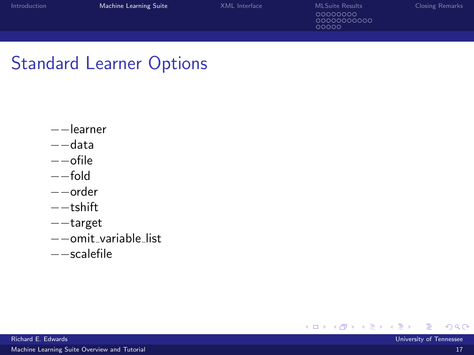| Introduction | Machine Learning Suite | XMI Interface | MI Suite Results                | <b>Closing Remarks</b> |
|--------------|------------------------|---------------|---------------------------------|------------------------|
|              |                        |               | 00000000<br>0000000000<br>00000 |                        |
|              |                        |               |                                 |                        |

### Standard Learner Options

- −−learner
- −−data
- −−ofile
- −−fold
- −−order
- −−tshift
- −−target
- −−omit variable list
- −−scalefile

メロトメ 伊 トメ 君 トメ 君

[Machine Learning Suite Overview and Tutorial](#page-0-0) 17 November 2014 17 November 2014 17 November 2014 17 November 201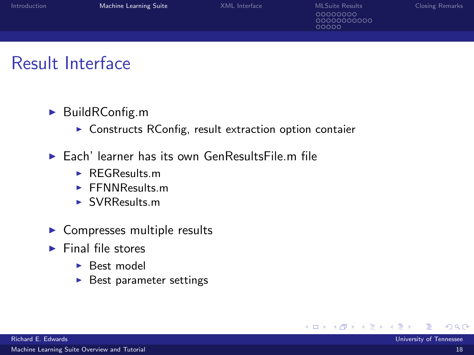| Introduction | Machine Learning Suite | XML Interface | <b>MLSuite Results</b>          | <b>Closing Remarks</b> |
|--------------|------------------------|---------------|---------------------------------|------------------------|
|              |                        |               | 00000000<br>0000000000<br>00000 |                        |
|              |                        |               |                                 |                        |

#### Result Interface

#### $\blacktriangleright$  BuildRConfig.m

- $\triangleright$  Constructs RConfig, result extraction option contaier
- $\blacktriangleright$  Each' learner has its own GenResultsFile.m file
	- $\blacktriangleright$  REGResults m
	- $\blacktriangleright$  FFNNResults.m.
	- $\blacktriangleright$  SVRResults.m
- $\blacktriangleright$  Compresses multiple results
- $\blacktriangleright$  Final file stores
	- $\blacktriangleright$  Best model
	- $\blacktriangleright$  Best parameter settings

4 0 8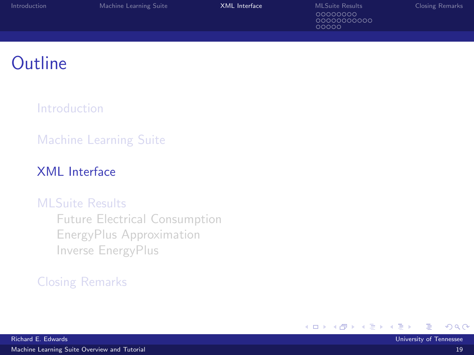| Introduction | Machine Learning Suite | XML Interface | <b>MLSuite Results</b>          | <b>Closing Remarks</b> |
|--------------|------------------------|---------------|---------------------------------|------------------------|
|              |                        |               | 00000000<br>0000000000<br>00000 |                        |
|              |                        |               |                                 |                        |

### **Outline**

[Introduction](#page-2-0)

#### [Machine Learning Suite](#page-11-0)

#### [XML Interface](#page-20-0)

#### [MLSuite Results](#page-27-0)

[Future Electrical Consumption](#page-28-0) [EnergyPlus Approximation](#page-36-0) [Inverse EnergyPlus](#page-47-0)

#### [Closing Remarks](#page-52-0)

K □ ▶ K 倒 ▶

<span id="page-20-0"></span>ik Bisko B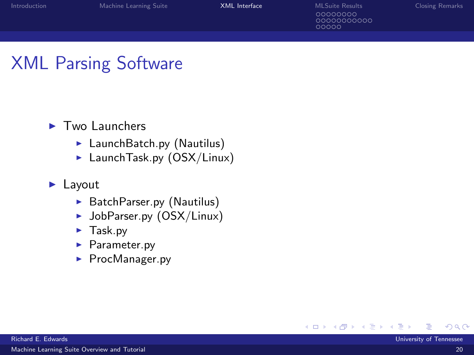| Introduction | Machine Learning Suite | XML Interface | <b>MI Suite Results</b>        | <b>Closing Remarks</b> |
|--------------|------------------------|---------------|--------------------------------|------------------------|
|              |                        |               | 00000000<br>0000000000<br>anna |                        |
|              |                        |               |                                |                        |

## XML Parsing Software

#### $\blacktriangleright$  Two Launchers

- $\blacktriangleright$  LaunchBatch.py (Nautilus)
- $\blacktriangleright$  Launch Task.py (OSX/Linux)

#### $\blacktriangleright$  Layout

- $\blacktriangleright$  BatchParser.py (Nautilus)
- $\blacktriangleright$  JobParser.py (OSX/Linux)
- $\blacktriangleright$  Task.py
- $\blacktriangleright$  Parameter.py
- $\blacktriangleright$  ProcManager.py

4 0 8 - ∢ n™ - 16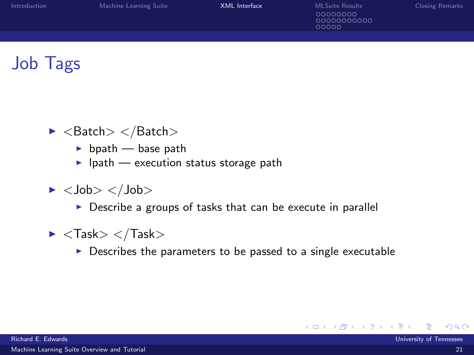| Introduction | Machine Learning Suite | XML Interface | <b>MLSuite Results</b>          | <b>Closing Remarks</b> |
|--------------|------------------------|---------------|---------------------------------|------------------------|
|              |                        |               | 00000000<br>0000000000<br>00000 |                        |
|              |                        |               |                                 |                        |

### Job Tags

- $\blacktriangleright$  <Batch> </Batch>
	- $\blacktriangleright$  bpath base path
	- $\blacktriangleright$  lpath execution status storage path
- $\blacktriangleright$  <Job> </Job>
	- $\triangleright$  Describe a groups of tasks that can be execute in parallel
- $\blacktriangleright$  < Task $>$  < /Task $>$ 
	- $\triangleright$  Describes the parameters to be passed to a single executable

4 ロ 4 伊

化原子 化原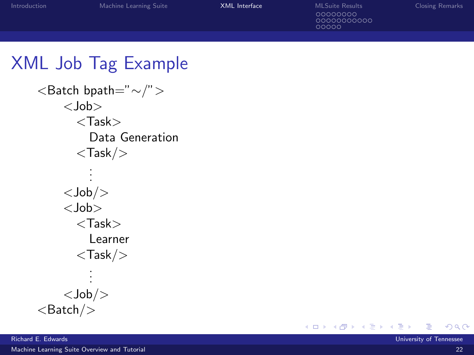| Introduction | Machine Learning Suite | <b>XML</b> Interface | <b>MLSuite Results</b><br>00000000<br>0000000000<br>00000 | <b>Closing Remarks</b> |
|--------------|------------------------|----------------------|-----------------------------------------------------------|------------------------|
|              |                        |                      |                                                           |                        |

### XML Job Tag Example

```
<Batch bpath="∼/">
   <Job>
     <Task>Data Generation
     <Task/.
       .
       .
   <Job/<Job>
     <Task>Learner
     <Task/.
       .
       .
   <Job/<Batch/
```
**K ロト K 御 ト K 君 ト K 君**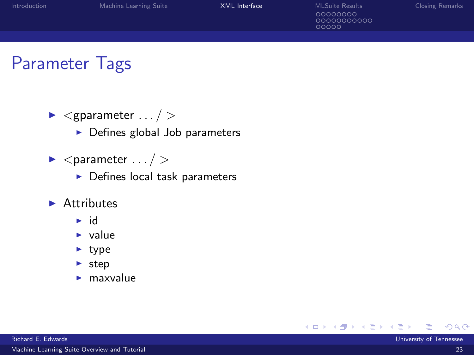| . Introduction | Machine Learning Suite | <b>XML</b> Interface | MI Suite Results                | <b>Closing Remarks</b> |
|----------------|------------------------|----------------------|---------------------------------|------------------------|
|                |                        |                      | 00000000<br>0000000000<br>00000 |                        |
|                |                        |                      |                                 |                        |

#### Parameter Tags

- $\blacktriangleright$  <gparameter ... / >
	- $\blacktriangleright$  Defines global Job parameters
- $\blacktriangleright$  <parameter ... / >
	- $\blacktriangleright$  Defines local task parameters
- $\blacktriangleright$  Attributes
	- $\blacktriangleright$  id
	- $\blacktriangleright$  value
	- $\blacktriangleright$  type
	- $\blacktriangleright$  step
	- $\blacktriangleright$  maxvalue

メロト メ団 トメ ミトメ 毛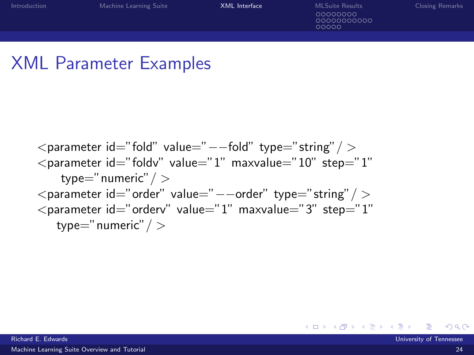00000000000

### XML Parameter Examples

<parameter id="fold" value="−−fold" type="string"/ > <parameter id="foldv" value="1" maxvalue="10" step="1" type="numeric"/ > <parameter id="order" value="−−order" type="string"/ > <parameter id="orderv" value="1" maxvalue="3" step="1" type="numeric"/ >

Richard E. Edwards University of Tennessee

メロメ メ都 メメ きょくきょ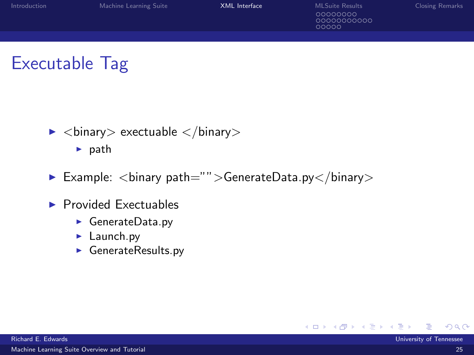| Introduction | Machine Learning Suite | XML Interface | <b>MLSuite Results</b>          | <b>Closing Remarks</b> |
|--------------|------------------------|---------------|---------------------------------|------------------------|
|              |                        |               | 00000000<br>0000000000<br>00000 |                        |
|              |                        |               |                                 |                        |

### Executable Tag

 $\blacktriangleright$  <br/>binary> exectuable </binary>

 $\blacktriangleright$  path

- Example:  $\langle$ binary path="">GenerateData.py $\langle$ binary>
- $\blacktriangleright$  Provided Exectuables
	- $\blacktriangleright$  GenerateData.py
	- $\blacktriangleright$  Launch.py
	- $\blacktriangleright$  GenerateResults.py

<span id="page-26-0"></span> $\rightarrow$ 

4 ロ 4 伊

- 16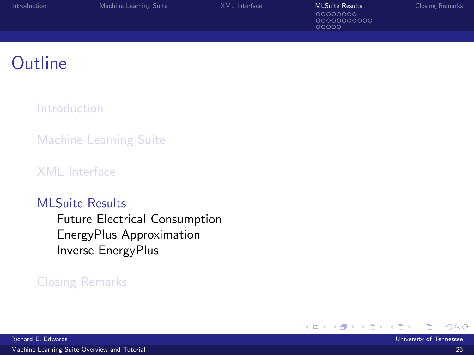| Introduction | Machine Learning Suite | XML Interface | <b>MLSuite Results</b>          | <b>Closing Remarks</b> |
|--------------|------------------------|---------------|---------------------------------|------------------------|
|              |                        |               | 00000000<br>0000000000<br>00000 |                        |
|              |                        |               |                                 |                        |

### **Outline**

[Introduction](#page-2-0)

[Machine Learning Suite](#page-11-0)

[XML Interface](#page-20-0)

#### [MLSuite Results](#page-27-0)

[Future Electrical Consumption](#page-28-0) [EnergyPlus Approximation](#page-36-0) [Inverse EnergyPlus](#page-47-0)

#### [Closing Remarks](#page-52-0)

<span id="page-27-0"></span>× ×

4 0 8 - ∢ r¶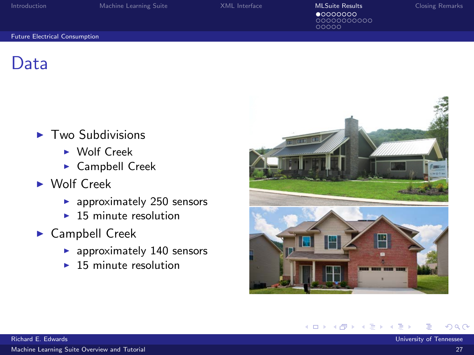00000000000  $00000$ 

#### [Future Electrical Consumption](#page-28-0)

Data

- $\blacktriangleright$  Two Subdivisions
	- $\triangleright$  Wolf Creek
	- $\blacktriangleright$  Campbell Creek
- $\triangleright$  Wolf Creek
	- $\blacktriangleright$  approximately 250 sensors
	- $\blacktriangleright$  15 minute resolution
- $\blacktriangleright$  Campbell Creek
	- $\blacktriangleright$  approximately 140 sensors
	- $\blacktriangleright$  15 minute resolution



**∢ ロ ▶ - ィ <sub>印</sub>** 

<span id="page-28-0"></span> $\rightarrow$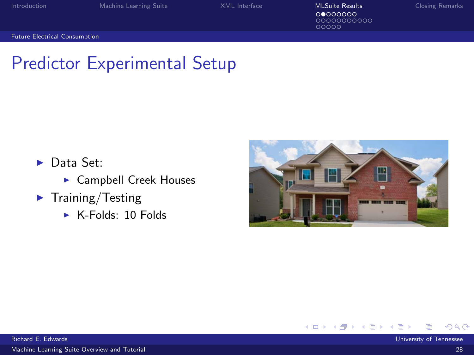00000000000<br>00000

[Future Electrical Consumption](#page-29-0)

### Predictor Experimental Setup

- $\blacktriangleright$  Data Set:
	- $\blacktriangleright$  Campbell Creek Houses
- $\blacktriangleright$  Training/Testing
	- $\triangleright$  K-Folds: 10 Folds



<span id="page-29-0"></span>**← ロ ▶ → イ 冊** 

[Machine Learning Suite Overview and Tutorial](#page-0-0) 28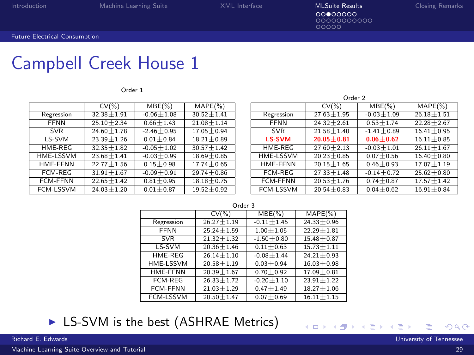$\overline{\circ\circ\circ\circ\circ\circ\circ\circ\circ}$ 

[Future Electrical Consumption](#page-30-0)

### Campbell Creek House 1

Order 1

|                  | $CV(\% )$      | $MBE(\%)$      | $MAPE(\%)$     |
|------------------|----------------|----------------|----------------|
| Regression       | $32.38 + 1.91$ | $-0.06 + 1.08$ | $30.52 + 1.41$ |
| <b>FFNN</b>      | $25.10 + 2.34$ | $0.66 + 1.43$  | $21.08 + 1.14$ |
| <b>SVR</b>       | $24.60 + 1.78$ | $-2.46 + 0.95$ | $17.05 + 0.94$ |
| LS-SVM           | $23.39 + 1.26$ | $0.01 + 0.84$  | $18.21 + 0.89$ |
| HMF-RFG          | $32.35 + 1.82$ | $-0.05 + 1.02$ | $30.57 + 1.42$ |
| HME-LSSVM        | $23.68 + 1.41$ | $-0.03 + 0.99$ | $18.69 + 0.85$ |
| <b>HME-FFNN</b>  | $22.77 + 1.56$ | $0.15 + 0.98$  | $17.74 + 0.65$ |
| <b>FCM-REG</b>   | $31.91 + 1.67$ | $-0.09 + 0.91$ | $29.74 + 0.86$ |
| <b>FCM-FFNN</b>  | $22.65 + 1.42$ | $0.81 + 0.95$  | $18.18 + 0.75$ |
| <b>FCM-LSSVM</b> | $24.03 + 1.20$ | $0.01 + 0.87$  | $19.52 + 0.92$ |

| Orger 2          |                |                |                |  |
|------------------|----------------|----------------|----------------|--|
|                  | $CV(\% )$      | $MBE(\%)$      | $MAPE(\% )$    |  |
| Regression       | $27.63 + 1.95$ | $-0.03 + 1.09$ | $26.18 + 1.51$ |  |
| <b>FFNN</b>      | $24.32 + 2.61$ | $0.53 + 1.74$  | $22.28 + 2.67$ |  |
| <b>SVR</b>       | $21.58 + 1.40$ | $-1.41 + 0.89$ | $16.41 + 0.95$ |  |
| <b>LS-SVM</b>    | $20.05 + 0.81$ | $0.06 + 0.62$  | $16.11 + 0.85$ |  |
| HMF-RFG          | $27.60 + 2.13$ | $-0.03 + 1.01$ | $26.11 + 1.67$ |  |
| <b>HME-LSSVM</b> | $20.23 + 0.85$ | $0.07 + 0.56$  | $16.40 + 0.80$ |  |
| HMF-FFNN         | $20.15 + 1.65$ | $0.46 + 0.93$  | $17.07 + 1.19$ |  |
| <b>FCM-REG</b>   | $27.33 + 1.48$ | $-0.14 + 0.72$ | $25.62 + 0.80$ |  |
| <b>FCM-FFNN</b>  | $20.53 + 1.76$ | $0.74 + 0.87$  | $17.57 + 1.42$ |  |
| <b>FCM-LSSVM</b> | $20.54 + 0.83$ | $0.04 + 0.62$  | $16.91 + 0.84$ |  |

**← ロ ▶ → 何** 

 $\rightarrow$ 

 $\sim$   $\sim$   $\sim$ 

| <b>UND</b>       |                |                |                |  |
|------------------|----------------|----------------|----------------|--|
|                  | CV(%)          | $MBE(\%)$      | $MAPE(\% )$    |  |
| Regression       | $26.27 + 1.19$ | $-0.11 + 1.45$ | $24.33 + 0.96$ |  |
| <b>FFNN</b>      | $25.24 + 1.59$ | $1.00 + 1.05$  | $22.29 + 1.81$ |  |
| <b>SVR</b>       | $21.32 + 1.32$ | $-1.50 + 0.80$ | $15.48 + 0.87$ |  |
| LS-SVM           | $20.36 + 1.46$ | $0.11 + 0.63$  | $15.73 + 1.11$ |  |
| HME-REG          | $26.14 + 1.10$ | $-0.08 + 1.44$ | $24.21 + 0.93$ |  |
| <b>HME-LSSVM</b> | $20.58 + 1.19$ | $0.03 + 0.94$  | $16.03 + 0.98$ |  |
| <b>HME-FFNN</b>  | $20.39 + 1.67$ | $0.70 + 0.92$  | $17.09 + 0.81$ |  |
| FCM-REG          | $26.33 + 1.72$ | $-0.20 + 1.10$ | $23.91 + 1.22$ |  |
| <b>FCM-FFNN</b>  | $21.03 + 1.29$ | $0.47 + 1.49$  | $18.27 + 1.06$ |  |
| <b>FCM-LSSVM</b> | $20.50 + 1.47$ | $0.07 + 0.69$  | $16.11 + 1.15$ |  |

Order 3

#### $\triangleright$  LS-SVM is the best (ASHRAE Metrics)

[Machine Learning Suite Overview and Tutorial](#page-0-0) 29

<span id="page-30-0"></span>× ∍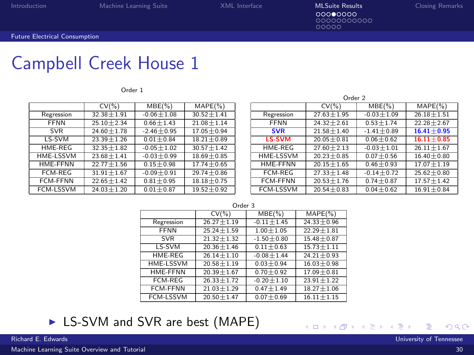ၜၜၜၜၜၜၜၜၜၜၜၜ

### Campbell Creek House 1

Order 1

|                  | $CV(\% )$      | $MBE(\%)$      | $MAPE(\%)$     |
|------------------|----------------|----------------|----------------|
| Regression       | $32.38 + 1.91$ | $-0.06 + 1.08$ | $30.52 + 1.41$ |
| <b>FFNN</b>      | $25.10 + 2.34$ | $0.66 + 1.43$  | $21.08 + 1.14$ |
| <b>SVR</b>       | $24.60 + 1.78$ | $-2.46 + 0.95$ | $17.05 + 0.94$ |
| LS-SVM           | $23.39 + 1.26$ | $0.01 + 0.84$  | $18.21 + 0.89$ |
| HMF-RFG          | $32.35 + 1.82$ | $-0.05 + 1.02$ | $30.57 + 1.42$ |
| <b>HME-LSSVM</b> | $23.68 + 1.41$ | $-0.03 + 0.99$ | $18.69 + 0.85$ |
| <b>HMF-FFNN</b>  | $22.77 + 1.56$ | $0.15 + 0.98$  | $17.74 + 0.65$ |
| <b>FCM-REG</b>   | $31.91 + 1.67$ | $-0.09 + 0.91$ | $29.74 + 0.86$ |
| <b>FCM-FFNN</b>  | $22.65 + 1.42$ | $0.81 + 0.95$  | $18.18 + 0.75$ |
| <b>FCM-LSSVM</b> | $24.03 + 1.20$ | $0.01 + 0.87$  | $19.52 + 0.92$ |

| Orger 2          |                |                |                |  |
|------------------|----------------|----------------|----------------|--|
|                  | $CV(\% )$      | $MBE(\%)$      | $MAPE(\% )$    |  |
| Regression       | $27.63 + 1.95$ | $-0.03 + 1.09$ | $26.18 + 1.51$ |  |
| <b>FFNN</b>      | $24.32 + 2.61$ | $0.53 + 1.74$  | $22.28 + 2.67$ |  |
| <b>SVR</b>       | $21.58 + 1.40$ | $-1.41 + 0.89$ | $16.41 + 0.95$ |  |
| <b>LS-SVM</b>    | $20.05 + 0.81$ | $0.06 + 0.62$  | $16.11 + 0.85$ |  |
| HMF-RFG          | $27.60 + 2.13$ | $-0.03 + 1.01$ | $26.11 + 1.67$ |  |
| <b>HME-LSSVM</b> | $20.23 + 0.85$ | $0.07 + 0.56$  | $16.40 + 0.80$ |  |
| HMF-FFNN         | $20.15 + 1.65$ | $0.46 + 0.93$  | $17.07 + 1.19$ |  |
| <b>FCM-REG</b>   | $27.33 + 1.48$ | $-0.14 + 0.72$ | $25.62 + 0.80$ |  |
| <b>FCM-FFNN</b>  | $20.53 + 1.76$ | $0.74 + 0.87$  | $17.57 + 1.42$ |  |
| <b>FCM-LSSVM</b> | $20.54 + 0.83$ | $0.04 + 0.62$  | $16.91 + 0.84$ |  |

**∢ □ ▶ ⊣ ∈ ▶** 

 $\sim$   $\sim$   $\sim$ 

|                  | $CV(\% )$        | $MBE(\%)$      | $MAPE(\% )$    |  |
|------------------|------------------|----------------|----------------|--|
| Regression       | $26.27 + 1.19$   | $-0.11 + 1.45$ | $24.33 + 0.96$ |  |
| <b>FFNN</b>      | $25.24 + 1.59$   | $1.00 + 1.05$  | $22.29 + 1.81$ |  |
| <b>SVR</b>       | $21.32 \pm 1.32$ | $-1.50 + 0.80$ | $15.48 + 0.87$ |  |
| LS-SVM           | $20.36 + 1.46$   | $0.11 + 0.63$  | $15.73 + 1.11$ |  |
| HME-REG          | $26.14 + 1.10$   | $-0.08 + 1.44$ | $24.21 + 0.93$ |  |
| HME-LSSVM        | $20.58 + 1.19$   | $0.03 + 0.94$  | $16.03 + 0.98$ |  |
| <b>HME-FFNN</b>  | $20.39 + 1.67$   | $0.70 + 0.92$  | $17.09 + 0.81$ |  |
| FCM-REG          | $26.33 + 1.72$   | $-0.20 + 1.10$ | $23.91 + 1.22$ |  |
| <b>FCM-FFNN</b>  | $21.03 + 1.29$   | $0.47 + 1.49$  | $18.27 + 1.06$ |  |
| <b>FCM-LSSVM</b> | $20.50 + 1.47$   | $0.07 + 0.69$  | $16.11 + 1.15$ |  |

Order 3

#### ► LS-SVM and SVR are best (MAPE)

[Machine Learning Suite Overview and Tutorial](#page-0-0) 30

<span id="page-31-0"></span>× ×. э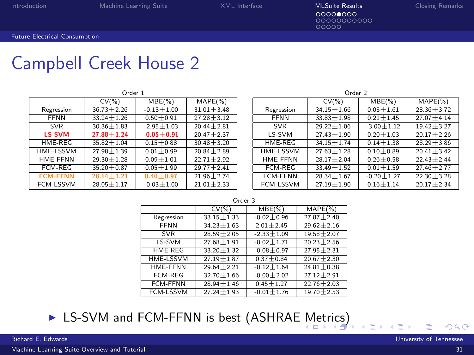ၜၜၜၜၜၜၜၜၜၜၜၜ

### Campbell Creek House 2

|                 | Order 1        |                |                |                 | Order <sub>2</sub> |  |
|-----------------|----------------|----------------|----------------|-----------------|--------------------|--|
|                 | $CV(\% )$      | $MBE(\%)$      | $MAPE(\%)$     |                 | $CV(\% )$          |  |
| Regression      | $36.73 + 2.26$ | $-0.13 + 1.00$ | $31.01 + 3.48$ | Regression      | $34.15 + 1.66$     |  |
| <b>FFNN</b>     | $33.24 + 1.26$ | $0.50 + 0.91$  | $27.28 + 3.12$ | <b>FFNN</b>     | $33.83 + 1.98$     |  |
| <b>SVR</b>      | $30.36 + 1.83$ | $-2.95 + 1.03$ | $20.44 + 2.81$ | <b>SVR</b>      | $29.22 + 1.06$     |  |
| <b>LS-SVM</b>   | $27.88 + 1.24$ | $-0.05 + 0.91$ | $20.47 + 2.37$ | LS-SVM          | $27.43 + 1.90$     |  |
| HME-REG         | $35.82 + 1.04$ | $0.15 + 0.88$  | $30.48 + 3.20$ | HME-REG         | $34.15 + 1.74$     |  |
| HME-LSSVM       | $27.98 + 1.39$ | $0.01 + 0.99$  | $20.84 + 2.89$ | HME-LSSVM       | $27.63 + 1.28$     |  |
| HME-FFNN        | $29.30 + 1.28$ | $0.09 + 1.01$  | $22.71 + 2.92$ | HME-FFNN        | $28.17 + 2.04$     |  |
| FCM-REG         | $35.20 + 0.87$ | $0.05 + 1.99$  | $29.77 + 2.41$ | FCM-REG         | $33.49 + 1.52$     |  |
| <b>FCM-FFNN</b> | $28.14 + 1.21$ | $0.40 + 0.97$  | $21.96 + 2.74$ | <b>FCM-FFNN</b> | $28.34 + 1.67$     |  |
| FCM-LSSVM       | $28.05 + 1.17$ | $-0.03 + 1.00$ | $21.01 + 2.33$ | FCM-LSSVM       | $27.19 + 1.90$     |  |

| $\overline{\phantom{a}}$ |                |                |                |  |
|--------------------------|----------------|----------------|----------------|--|
|                          | $CV(\% )$      | $MBE(\%)$      | $MAPE(\% )$    |  |
| Regression               | $34.15 + 1.66$ | $0.05 + 1.61$  | $28.36 + 3.72$ |  |
| <b>FFNN</b>              | $33.83 + 1.98$ | $0.21 + 1.45$  | $27.07 + 4.14$ |  |
| <b>SVR</b>               | $29.22 + 1.06$ | $-3.00 + 1.12$ | $19.42 + 3.27$ |  |
| LS-SVM                   | $27.43 + 1.90$ | $0.20 + 1.03$  | $20.17 + 2.26$ |  |
| HMF-RFG                  | $34.15 + 1.74$ | $0.14 + 1.38$  | $28.29 + 3.86$ |  |
| HME-LSSVM                | $27.63 + 1.28$ | $0.10 + 0.89$  | $20.41 + 3.42$ |  |
| HMF-FFNN                 | $28.17 + 2.04$ | $0.26 + 0.58$  | $22.43 + 2.44$ |  |
| <b>FCM-REG</b>           | $33.49 + 1.52$ | $0.01 + 1.59$  | $27.46 + 2.77$ |  |
| <b>FCM-FFNN</b>          | $28.34 + 1.67$ | $-0.20 + 1.27$ | $22.30 + 3.28$ |  |
| <b>FCM-LSSVM</b>         | $27.19 + 1.90$ | $0.16 + 1.14$  | $20.17 + 2.34$ |  |

<span id="page-32-0"></span>

|                  | $CV($ %)       | $MBE(\%)$      | $MAPE(\%)$     |
|------------------|----------------|----------------|----------------|
| Regression       | $33.15 + 1.33$ | $-0.02 + 0.96$ | $27.87 + 2.40$ |
| <b>FFNN</b>      | $34.23 + 1.63$ | $2.01 + 2.45$  | $29.62 + 2.16$ |
| <b>SVR</b>       | $28.59 + 2.05$ | $-2.33 + 1.09$ | $19.58 + 2.07$ |
| LS-SVM           | $27.68 + 1.91$ | $-0.02 + 1.71$ | $20.23 + 2.56$ |
| <b>HMF-RFG</b>   | $33.20 + 1.32$ | $-0.08 + 0.97$ | $27.95 + 2.31$ |
| <b>HME-LSSVM</b> | $27.19 + 1.87$ | $0.37 + 0.84$  | $20.67 + 2.30$ |
| <b>HME-FFNN</b>  | $29.64 + 2.21$ | $-0.12 + 1.64$ | $24.81 + 0.38$ |
| <b>FCM-REG</b>   | $32.70 + 1.66$ | $-0.00 + 2.02$ | $27.12 + 2.91$ |
| <b>FCM-FFNN</b>  | $28.94 + 1.46$ | $0.45 + 1.27$  | $22.76 + 2.03$ |
| <b>FCM-LSSVM</b> | $27.24 + 1.93$ | $-0.01 + 1.76$ | $19.70 + 2.53$ |

**In LS-SVM and FCM-FFNN is best (ASHRAE [M](#page-31-0)[etr](#page-33-0)[ic](#page-31-0)[s\)](#page-32-0)** 

[Machine Learning Suite Overview and Tutorial](#page-0-0) 31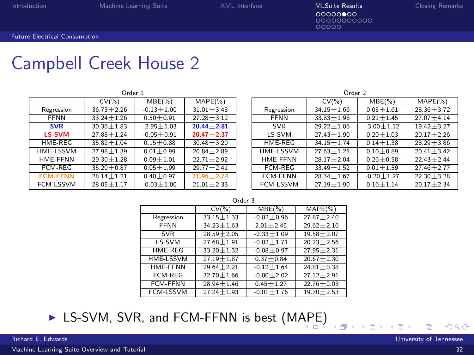00000000000  $00000$ 

### Campbell Creek House 2

|                 | Order 1        |                |                          |                 | Order <sub>2</sub> |  |
|-----------------|----------------|----------------|--------------------------|-----------------|--------------------|--|
|                 | $CV(\% )$      | $MBE(\%)$      | $MAPE(\% )$              |                 | $CV(\% )$          |  |
| Regression      | $36.73 + 2.26$ | $-0.13 + 1.00$ | $31.01 + 3.48$           | Regression      | $34.15 + 1.66$     |  |
| <b>FFNN</b>     | $33.24 + 1.26$ | $0.50 + 0.91$  | $27.28 + 3.12$           | <b>FFNN</b>     | $33.83 + 1.98$     |  |
| <b>SVR</b>      | $30.36 + 1.83$ | $-2.95 + 1.03$ | $20.44 + 2.81$           | <b>SVR</b>      | $29.22 + 1.06$     |  |
| <b>LS-SVM</b>   | $27.88 + 1.24$ | $-0.05 + 0.91$ | $20.47 + 2.37$           | LS-SVM          | $27.43 + 1.90$     |  |
| HMF-RFG         | $35.82 + 1.04$ | $0.15 + 0.88$  | $30.48 + 3.20$           | HME-REG         | $34.15 + 1.74$     |  |
| HME-LSSVM       | $27.98 + 1.39$ | $0.01 + 0.99$  | $20.84 + 2.89$           | HME-LSSVM       | $27.63 + 1.28$     |  |
| HMF-FFNN        | $29.30 + 1.28$ | $0.09 + 1.01$  | $\frac{22.71 + 2.92}{2}$ | <b>HME-FFNN</b> | $28.17 + 2.04$     |  |
| FCM-RFG         | $35.20 + 0.87$ | $0.05 + 1.99$  | $29.77 + 2.41$           | FCM-REG         | $33.49 + 1.52$     |  |
| <b>FCM-FFNN</b> | $28.14 + 1.21$ | $0.40 + 0.97$  | $21.96 + 2.74$           | FCM-FFNN        | $28.34 + 1.67$     |  |
| FCM-LSSVM       | $28.05 + 1.17$ | $-0.03 + 1.00$ | $21.01 + 2.33$           | FCM-LSSVM       | $27.19 \pm 1.90$   |  |

| Order <sub>2</sub> |                |                |                |  |
|--------------------|----------------|----------------|----------------|--|
|                    | $CV(\% )$      | $MBE(\%)$      | $MAPE(\% )$    |  |
| Regression         | $34.15 + 1.66$ | $0.05 + 1.61$  | $28.36 + 3.72$ |  |
| <b>FFNN</b>        | $33.83 + 1.98$ | $0.21 + 1.45$  | $27.07 + 4.14$ |  |
| <b>SVR</b>         | $29.22 + 1.06$ | $-3.00 + 1.12$ | $19.42 + 3.27$ |  |
| LS-SVM             | $27.43 + 1.90$ | $0.20 + 1.03$  | $20.17 + 2.26$ |  |
| <b>HME-REG</b>     | $34.15 + 1.74$ | $0.14 + 1.38$  | $28.29 + 3.86$ |  |
| HME-LSSVM          | $27.63 + 1.28$ | $0.10 + 0.89$  | $20.41 + 3.42$ |  |
| <b>HMF-FFNN</b>    | $28.17 + 2.04$ | $0.26 + 0.58$  | $22.43 + 2.44$ |  |
| <b>FCM-REG</b>     | $33.49 + 1.52$ | $0.01 + 1.59$  | $27.46 + 2.77$ |  |
| <b>FCM-FFNN</b>    | $28.34 + 1.67$ | $-0.20 + 1.27$ | $22.30 + 3.28$ |  |
| <b>FCM-LSSVM</b>   | $27.19 + 1.90$ | $0.16 + 1.14$  | $20.17 + 2.34$ |  |

<span id="page-33-0"></span>∢ শি

|--|--|--|--|

|                  | $CV($ %)       | $MBE(\%)$      | $MAPE(\%)$     |
|------------------|----------------|----------------|----------------|
| Regression       | $33.15 + 1.33$ | $-0.02 + 0.96$ | $27.87 + 2.40$ |
| <b>FFNN</b>      | $34.23 + 1.63$ | $2.01 + 2.45$  | $29.62 + 2.16$ |
| <b>SVR</b>       | $28.59 + 2.05$ | $-2.33 + 1.09$ | $19.58 + 2.07$ |
| LS-SVM           | $27.68 + 1.91$ | $-0.02 + 1.71$ | $20.23 + 2.56$ |
| <b>HMF-RFG</b>   | $33.20 + 1.32$ | $-0.08 + 0.97$ | $27.95 + 2.31$ |
| <b>HME-LSSVM</b> | $27.19 + 1.87$ | $0.37 + 0.84$  | $20.67 + 2.30$ |
| <b>HME-FFNN</b>  | $29.64 + 2.21$ | $-0.12 + 1.64$ | $24.81 + 0.38$ |
| <b>FCM-REG</b>   | $32.70 + 1.66$ | $-0.00 + 2.02$ | $27.12 + 2.91$ |
| <b>FCM-FFNN</b>  | $28.94 + 1.46$ | $0.45 + 1.27$  | $22.76 + 2.03$ |
| <b>FCM-LSSVM</b> | $27.24 + 1.93$ | $-0.01 + 1.76$ | $19.70 + 2.53$ |

▶ LS-SVM, SVR, and FCM-FFNN is best (M[AP](#page-32-0)[E\)](#page-34-0)

[Machine Learning Suite Overview and Tutorial](#page-0-0) 32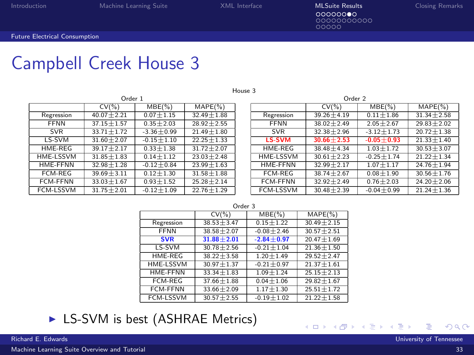House 3

ၜၜၜၜၜၜၜၜၜၜၜၜ

[Future Electrical Consumption](#page-34-0)

### Campbell Creek House 3

|                  | Order 1          |                |                  |  |  |
|------------------|------------------|----------------|------------------|--|--|
|                  | $CV(\% )$        | $MBE(\%)$      | $MAPE(\% )$      |  |  |
| Regression       | $40.07 + 2.21$   | $0.07 + 1.15$  | $32.49 \pm 1.88$ |  |  |
| <b>FFNN</b>      | $37.15 + 1.57$   | $0.35 + 2.03$  | $28.92 + 2.55$   |  |  |
| <b>SVR</b>       | $33.71 + 1.72$   | $-3.36 + 0.99$ | $21.49 + 1.80$   |  |  |
| LS-SVM           | $31.60 \pm 2.07$ | $-0.15 + 1.10$ | $22.25 + 1.33$   |  |  |
| HMF-RFG          | $39.17 + 2.17$   | $0.33 + 1.38$  | $31.72 + 2.07$   |  |  |
| HME-LSSVM        | $31.85 + 1.83$   | $0.14 + 1.12$  | $23.03 + 2.48$   |  |  |
| <b>HME-FFNN</b>  | $32.98 + 1.28$   | $-0.12 + 0.84$ | $23.99 + 1.63$   |  |  |
| <b>FCM-REG</b>   | $39.69 + 3.11$   | $0.12 + 1.30$  | $31.58 + 1.88$   |  |  |
| <b>FCM-FFNN</b>  | $33.03 + 1.67$   | $0.93 + 1.52$  | $25.28 + 2.14$   |  |  |
| <b>FCM-LSSVM</b> | $31.75 + 2.01$   | $-0.12 + 1.09$ | $22.76 + 1.29$   |  |  |

| Order 1 |                |                | Order <sub>2</sub> |                |                 |                |
|---------|----------------|----------------|--------------------|----------------|-----------------|----------------|
|         | $MBE(\%)$      | $MAPE(\% )$    |                    | $CV(\% )$      | $MBE(\%)$       | $MAPE(\%)$     |
| 21      | $0.07 + 1.15$  | $32.49 + 1.88$ | Regression         | $39.26 + 4.19$ | $0.11 + 1.86$   | $31.34 + 2.58$ |
| 57      | $0.35 + 2.03$  | $28.92 + 2.55$ | <b>FFNN</b>        | $38.02 + 2.49$ | $2.05 + 2.67$   | $29.83 + 2.02$ |
| 72      | $-3.36 + 0.99$ | $21.49 + 1.80$ | <b>SVR</b>         | $32.38 + 2.96$ | $-3.12 + 1.73$  | $20.72 + 1.38$ |
| 07      | $-0.15 + 1.10$ | $22.25 + 1.33$ | LS-SVM             | $30.66 + 2.53$ | $-0.05 + 0.93$  | $21.33 + 1.40$ |
| 17      | $0.33 + 1.38$  | $31.72 + 2.07$ | HME-REG            | $38.48 + 4.34$ | $1.03 + 1.72$   | $30.53 + 3.07$ |
| B3      | $0.14 + 1.12$  | $23.03 + 2.48$ | HME-LSSVM          | $30.61 + 2.23$ | $-0.25 + 1.74$  | $21.22 + 1.34$ |
| 28      | $-0.12 + 0.84$ | $23.99 + 1.63$ | HME-FFNN           | $32.99 + 2.17$ | $1.07 + 1.17$   | $24.76 + 1.94$ |
| 11      | $0.12 + 1.30$  | $31.58 + 1.88$ | FCM-REG            | $38.74 + 2.67$ | $0.08 + 1.90$   | $30.56 + 1.76$ |
| 67      | $0.93 + 1.52$  | $25.28 + 2.14$ | FCM-FFNN           | $32.92 + 2.49$ | $0.76 \pm 2.03$ | $24.20 + 2.06$ |
| 01      | $-0.12 + 1.09$ | $22.76 + 1.29$ | FCM-LSSVM          | $30.48 + 2.39$ | $-0.04 + 0.99$  | $21.24 + 1.36$ |

K □ ▶ K ①

- 16

|                  | <b>UND</b>     |                |                |  |  |  |
|------------------|----------------|----------------|----------------|--|--|--|
|                  | CV(% )         | $MBE(\%)$      | $MAPE(\%)$     |  |  |  |
| Regression       | $38.53 + 3.47$ | $0.15 + 1.22$  | $30.49 + 2.15$ |  |  |  |
| <b>FFNN</b>      | $38.58 + 2.07$ | $-0.08 + 2.46$ | $30.57 + 2.51$ |  |  |  |
| <b>SVR</b>       | $31.88 + 2.01$ | $-2.84 + 0.97$ | $20.47 + 1.69$ |  |  |  |
| LS-SVM           | $30.78 + 2.56$ | $-0.21 + 1.04$ | $21.36 + 1.50$ |  |  |  |
| HMF-RFG          | $38.22 + 3.58$ | $1.20 + 1.49$  | $29.52 + 2.47$ |  |  |  |
| <b>HME-LSSVM</b> | $30.97 + 1.37$ | $-0.21 + 0.97$ | $21.37 + 1.61$ |  |  |  |
| <b>HMF-FFNN</b>  | $33.34 + 1.83$ | $1.09 + 1.24$  | $25.15 + 2.13$ |  |  |  |
| <b>FCM-REG</b>   | $37.66 + 1.88$ | $0.04 + 1.06$  | $29.82 + 1.67$ |  |  |  |
| <b>FCM-FFNN</b>  | $33.66 + 2.09$ | $1.17 + 1.30$  | $25.51 + 1.72$ |  |  |  |
| <b>FCM-LSSVM</b> | $30.57 + 2.55$ | $-0.19 + 1.02$ | $21.22 + 1.58$ |  |  |  |

#### Order 3

#### ► LS-SVM is best (ASHRAE Metrics)

<span id="page-34-0"></span>×  $\prec$ э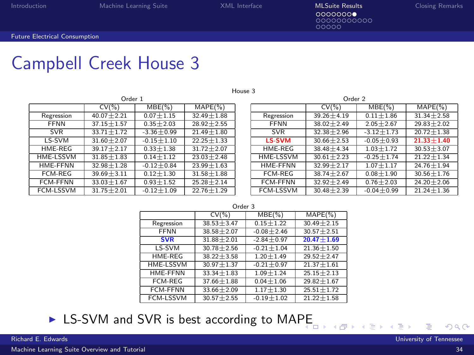House 3

00000000000  $00000$ 

[Future Electrical Consumption](#page-35-0)

### Campbell Creek House 3

|                                       | Order 1          |                |                |  |  |
|---------------------------------------|------------------|----------------|----------------|--|--|
| $MAPE(\% )$<br>$CV(\% )$<br>$MBE(\%)$ |                  |                |                |  |  |
| Regression                            | $40.07 + 2.21$   | $0.07 + 1.15$  | $32.49 + 1.88$ |  |  |
| <b>FFNN</b>                           | $37.15 + 1.57$   | $0.35 + 2.03$  | $28.92 + 2.55$ |  |  |
| <b>SVR</b>                            | $33.71 + 1.72$   | $-3.36 + 0.99$ | $21.49 + 1.80$ |  |  |
| LS-SVM                                | $31.60 \pm 2.07$ | $-0.15 + 1.10$ | $22.25 + 1.33$ |  |  |
| HMF-RFG                               | $39.17 + 2.17$   | $0.33 + 1.38$  | $31.72 + 2.07$ |  |  |
| HME-LSSVM                             | $31.85 \pm 1.83$ | $0.14 + 1.12$  | $23.03 + 2.48$ |  |  |
| HMF-FFNN                              | $32.98 + 1.28$   | $-0.12 + 0.84$ | $23.99 + 1.63$ |  |  |
| FCM-RFG                               | $39.69 + 3.11$   | $0.12 + 1.30$  | $31.58 + 1.88$ |  |  |
| <b>FCM-FFNN</b>                       | $33.03 + 1.67$   | $0.93 + 1.52$  | $25.28 + 2.14$ |  |  |
| <b>FCM-LSSVM</b>                      | $31.75 + 2.01$   | $-0.12 + 1.09$ | $22.76 + 1.29$ |  |  |
|                                       |                  |                |                |  |  |

| Order 1 |                |                | Order 2       |                |                |                |
|---------|----------------|----------------|---------------|----------------|----------------|----------------|
|         | $MBE(\%)$      | $MAPE(\% )$    |               | $CV(\% )$      | $MBE(\%)$      | $MAPE(\%)$     |
| 21      | $0.07 + 1.15$  | $32.49 + 1.88$ | Regression    | $39.26 + 4.19$ | $0.11 + 1.86$  | $31.34 + 2.58$ |
| 57      | $0.35 + 2.03$  | $28.92 + 2.55$ | <b>FFNN</b>   | $38.02 + 2.49$ | $2.05 + 2.67$  | $29.83 + 2.02$ |
| 72      | $-3.36 + 0.99$ | $21.49 + 1.80$ | <b>SVR</b>    | $32.38 + 2.96$ | $-3.12 + 1.73$ | $20.72 + 1.38$ |
| $_{07}$ | $-0.15 + 1.10$ | $22.25 + 1.33$ | <b>LS-SVM</b> | $30.66 + 2.53$ | $-0.05 + 0.93$ | $21.33 + 1.40$ |
| 17      | $0.33 + 1.38$  | $31.72 + 2.07$ | HME-REG       | $38.48 + 4.34$ | $1.03 + 1.72$  | $30.53 + 3.07$ |
| В3      | $0.14 + 1.12$  | $23.03 + 2.48$ | HME-LSSVM     | $30.61 + 2.23$ | $-0.25 + 1.74$ | $21.22 + 1.34$ |
| 28      | $-0.12 + 0.84$ | $23.99 + 1.63$ | HME-FFNN      | $32.99 + 2.17$ | $1.07 + 1.17$  | $24.76 + 1.94$ |
| 11      | $0.12 + 1.30$  | $31.58 + 1.88$ | FCM-REG       | $38.74 + 2.67$ | $0.08 + 1.90$  | $30.56 + 1.76$ |
| 67      | $0.93 + 1.52$  | $25.28 + 2.14$ | FCM-FFNN      | $32.92 + 2.49$ | $0.76 + 2.03$  | $24.20 + 2.06$ |
| 01      | $-0.12 + 1.09$ | $22.76 + 1.29$ | FCM-LSSVM     | $30.48 + 2.39$ | $-0.04 + 0.99$ | $21.24 + 1.36$ |

<span id="page-35-0"></span>- ∢ n⊡

|--|--|--|

| CV(%)          | $MBE(\%)$      | $MAPE(\%)$                                       |
|----------------|----------------|--------------------------------------------------|
| $38.53 + 3.47$ | $0.15 + 1.22$  | $30.49 + 2.15$                                   |
| $38.58 + 2.07$ | $-0.08 + 2.46$ | $30.57 + 2.51$                                   |
|                |                | $20.47 + 1.69$                                   |
| $30.78 + 2.56$ | $-0.21 + 1.04$ | $21.36 + 1.50$                                   |
| $38.22 + 3.58$ |                | $29.52 + 2.47$                                   |
| $30.97 + 1.37$ | $-0.21 + 0.97$ | $21.37 + 1.61$                                   |
| $33.34 + 1.83$ | $1.09 + 1.24$  | $25.15 + 2.13$                                   |
| $37.66 + 1.88$ | $0.04 + 1.06$  | $29.82 + 1.67$                                   |
| $33.66 + 2.09$ |                | $25.51 + 1.72$                                   |
| $30.57 + 2.55$ | $-0.19 + 1.02$ | $21.22 + 1.58$                                   |
|                | $31.88 + 2.01$ | $-2.84 + 0.97$<br>$1.20 + 1.49$<br>$1.17 + 1.30$ |

 $\triangleright$  LS-SVM and SVR is best according to MA[PE](#page-34-0)

[Machine Learning Suite Overview and Tutorial](#page-0-0) 34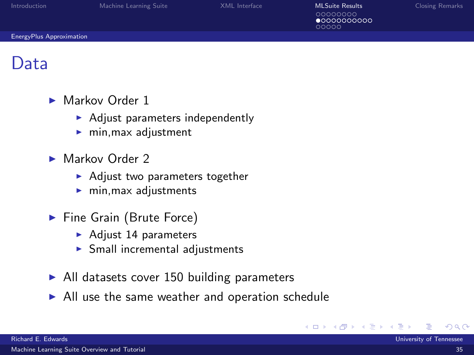| Introduction             | Machine Learning Suite | XML Interface | <b>MLSuite Results</b>                    | <b>Closing Remarks</b> |
|--------------------------|------------------------|---------------|-------------------------------------------|------------------------|
|                          |                        |               | 00000000<br>$\bullet$ 0000000000<br>00000 |                        |
| EnergyPlus Approximation |                        |               |                                           |                        |

#### Data

- $\blacktriangleright$  Markov Order 1
	- $\blacktriangleright$  Adjust parameters independently
	- $\blacktriangleright$  min, max adjustment
- $\blacktriangleright$  Markov Order 2
	- $\blacktriangleright$  Adjust two parameters together
	- $\blacktriangleright$  min, max adjustments
- $\blacktriangleright$  Fine Grain (Brute Force)
	- $\blacktriangleright$  Adjust 14 parameters
	- $\triangleright$  Small incremental adjustments
- $\blacktriangleright$  All datasets cover 150 building parameters
- $\blacktriangleright$  All use the same weather and operation schedule

4 0 8

<span id="page-36-0"></span> $\Omega$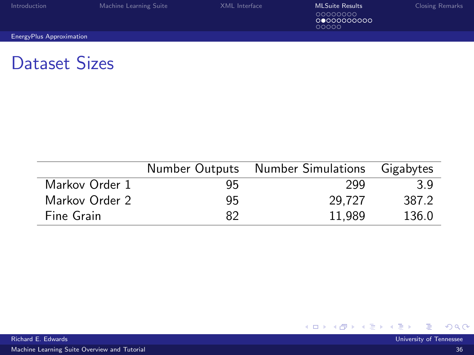| Introduction                    | Machine Learning Suite | XMI Interface | <b>MLSuite Results</b><br>00000000<br>00000000000<br>00000 | <b>Closing Remarks</b> |
|---------------------------------|------------------------|---------------|------------------------------------------------------------|------------------------|
| <b>EnergyPlus Approximation</b> |                        |               |                                                            |                        |

### Dataset Sizes

|                |    | Number Outputs Number Simulations | Gigabytes |
|----------------|----|-----------------------------------|-----------|
| Markov Order 1 | 95 | 299                               | 3 Q       |
| Markov Order 2 | 95 | 29.727                            | 387.2     |
| Fine Grain     | 82 | 11.989                            | 136.0     |

[Machine Learning Suite Overview and Tutorial](#page-0-0) 36

<span id="page-37-0"></span>メロト メ都 トメ ミトメ ミト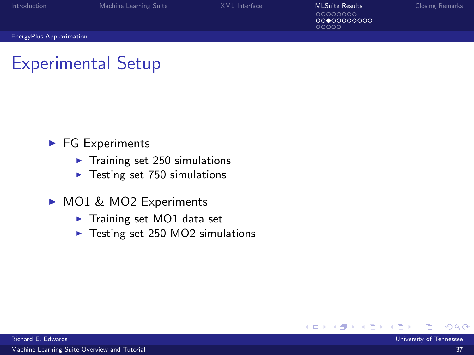| Introduction                    | Machine Learning Suite | XML Interface | <b>MLSuite Results</b>          | <b>Closing Remarks</b> |
|---------------------------------|------------------------|---------------|---------------------------------|------------------------|
|                                 |                        |               | 00000000<br>0000000000<br>00000 |                        |
| <b>EnergyPlus Approximation</b> |                        |               |                                 |                        |

### Experimental Setup

- $\blacktriangleright$  FG Experiments
	- $\blacktriangleright$  Training set 250 simulations
	- $\blacktriangleright$  Testing set 750 simulations
- ▶ MO1 & MO2 Experiments
	- $\blacktriangleright$  Training set MO1 data set
	- $\blacktriangleright$  Testing set 250 MO2 simulations

<span id="page-38-0"></span>4 0 8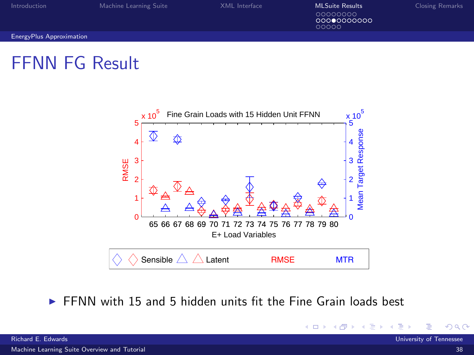[Introduction](#page-2-0) [Machine Learning Suite](#page-11-0) MESUL Interface Musquite Mesults [Closing Remarks](#page-52-0)<br>
00000000 00000000000 ooooo

<span id="page-39-0"></span>**∢ ロ ▶ - ィ <sub>印</sub>** 

[EnergyPlus Approximation](#page-39-0)

### FFNN FG Result



 $\triangleright$  FFNN with 15 and 5 hidden units fit the Fine Grain loads best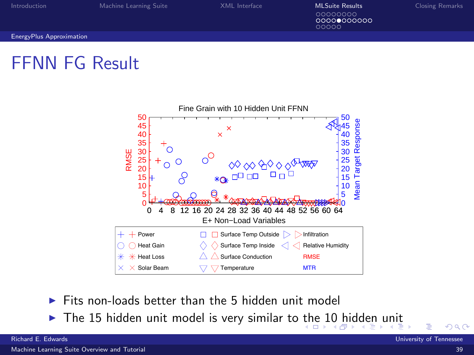[Introduction](#page-2-0) [Machine Learning Suite](#page-11-0) MESUL Interface Musquite Musquite Results Closing Remarks<br>
Machine Learning Suite [XML Interface](#page-20-0) Musquite COOOOOOO 00000000000

<span id="page-40-0"></span>aaaaa

[EnergyPlus Approximation](#page-40-0)

### FFNN FG Result



- $\triangleright$  Fits non-loads better than the 5 hidden unit model
- $\triangleright$  $\triangleright$  $\triangleright$  The 15 hidden unit model is very similar to [th](#page-39-0)e [1](#page-41-0)[0](#page-39-0) [hi](#page-40-0)[d](#page-35-0)de[n](#page-26-0) [u](#page-47-0)n[it](#page-27-0)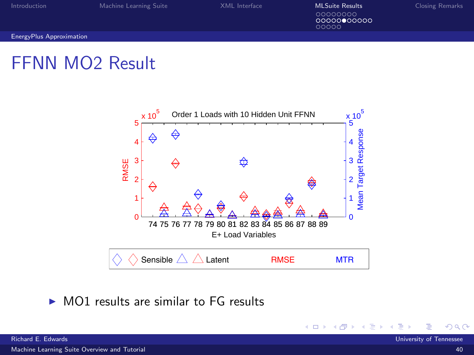| Introduction                    | Machine Learning Suite | XML Interface | <b>MLSuite Results</b><br>00000000<br>00000000000<br>00000 | <b>Closing Remarks</b> |
|---------------------------------|------------------------|---------------|------------------------------------------------------------|------------------------|
| <b>EnergyPlus Approximation</b> |                        |               |                                                            |                        |
|                                 |                        |               |                                                            |                        |

## FFNN MO2 Result



 $\triangleright$  MO1 results are similar to FG results

<span id="page-41-0"></span>**◆ロ ▶ → 母**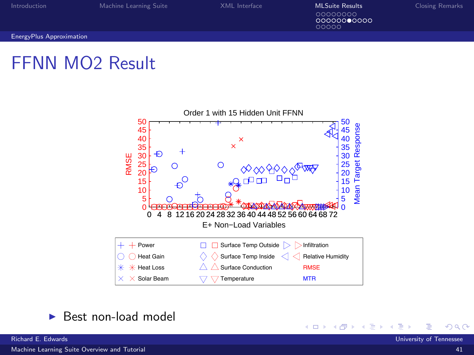[Introduction](#page-2-0) [Machine Learning Suite](#page-11-0) MESUL Interface Musquite Mesults [Closing Remarks](#page-52-0)<br>
00000000 00000000000

ooooo

4 ロ 4 伊  $\rightarrow$  <span id="page-42-0"></span>× ∍

[EnergyPlus Approximation](#page-42-0)

### FFNN MO2 Result



 $\blacktriangleright$  Best non-load model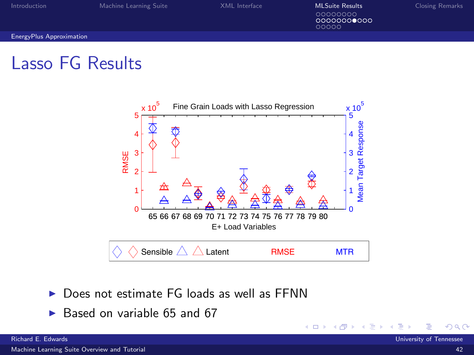| Introduction             | Machine Learning Suite | XML Interface | <b>MLSuite Results</b><br>00000000<br>00000000000<br>00000 | <b>Closing Remarks</b> |
|--------------------------|------------------------|---------------|------------------------------------------------------------|------------------------|
| EnergyPlus Approximation |                        |               |                                                            |                        |
|                          |                        |               |                                                            |                        |

### Lasso FG Results



<span id="page-43-0"></span>4 0 8 4

- $\triangleright$  Does not estimate FG loads as well as FFNN
- $\triangleright$  Based on variable 65 and 67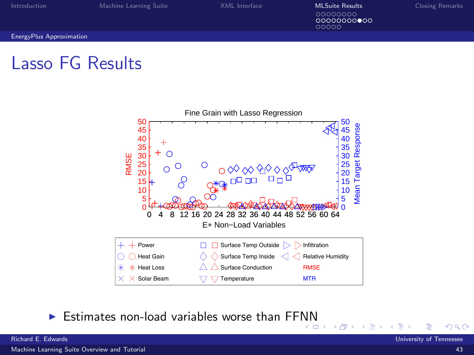[Introduction](#page-2-0) [Machine Learning Suite](#page-11-0) MESUL Interface Musquite Mesults [Closing Remarks](#page-52-0)<br>
00000000  $000000000000$ 

<span id="page-44-0"></span>ooooo

[EnergyPlus Approximation](#page-44-0)

### Lasso FG Results



Estimates non-load variables worse than FF[NN](#page-43-0)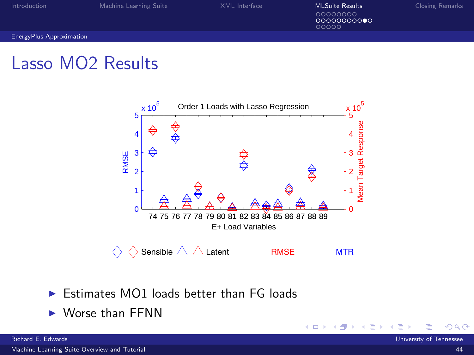| Introduction             | Machine Learning Suite | XML Interface | <b>MLSuite Results</b>           | <b>Closing Remarks</b> |
|--------------------------|------------------------|---------------|----------------------------------|------------------------|
|                          |                        |               | 00000000<br>00000000000<br>00000 |                        |
| EnergyPlus Approximation |                        |               |                                  |                        |
|                          |                        |               |                                  |                        |

### Lasso MO2 Results



<span id="page-45-0"></span>4 0 8  $\rightarrow$ 

- $\triangleright$  Estimates MO1 loads better than FG loads
- $\blacktriangleright$  Worse than FFNN

[Machine Learning Suite Overview and Tutorial](#page-0-0) 44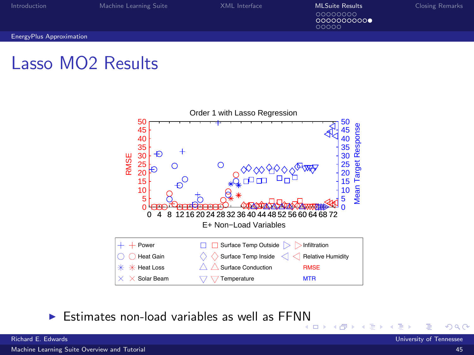[Introduction](#page-2-0) [Machine Learning Suite](#page-11-0) MESUL Interface Musquite Mesults [Closing Remarks](#page-52-0)<br>
00000000 0000000000

<span id="page-46-0"></span>∢ শি

ooooo

[EnergyPlus Approximation](#page-46-0)

### Lasso MO2 Results



Estimates non-load variables as well as FF[N](#page-45-0)N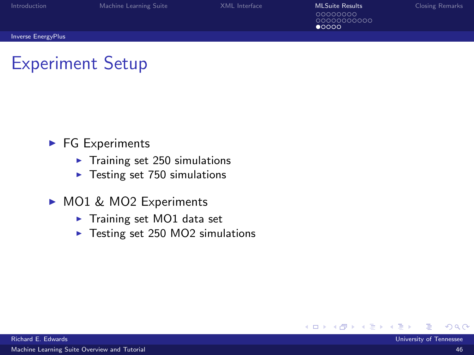| <b>Introduction</b>       | Machine Learning Suite | XML Interface | MLSuite Results                          | Closing Remarks |
|---------------------------|------------------------|---------------|------------------------------------------|-----------------|
|                           |                        |               | 00000000<br>0000000000<br>$\bullet$ 0000 |                 |
| <b>Inverse EnergyPlus</b> |                        |               |                                          |                 |

### Experiment Setup

- $\blacktriangleright$  FG Experiments
	- $\blacktriangleright$  Training set 250 simulations
	- $\blacktriangleright$  Testing set 750 simulations
- ▶ MO1 & MO2 Experiments
	- $\blacktriangleright$  Training set MO1 data set
	- $\blacktriangleright$  Testing set 250 MO2 simulations

<span id="page-47-0"></span>4 0 8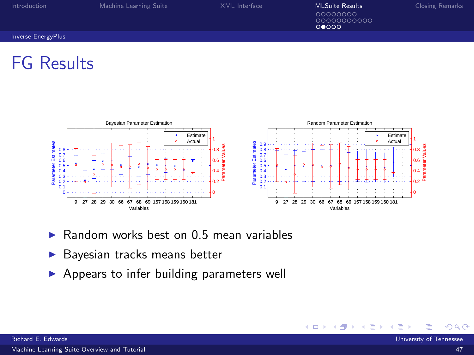| Introduction                                                                   | Machine Learning Suite                  | XML Interface                                                                                                                                          | <b>MLSuite Results</b><br>00000000<br>0000000000<br>00000 | <b>Closing Remarks</b>                            |
|--------------------------------------------------------------------------------|-----------------------------------------|--------------------------------------------------------------------------------------------------------------------------------------------------------|-----------------------------------------------------------|---------------------------------------------------|
| <b>Inverse EnergyPlus</b>                                                      |                                         |                                                                                                                                                        |                                                           |                                                   |
| <b>FG Results</b>                                                              |                                         |                                                                                                                                                        |                                                           |                                                   |
|                                                                                |                                         |                                                                                                                                                        |                                                           |                                                   |
|                                                                                | Bayesian Parameter Estimation           |                                                                                                                                                        | Random Parameter Estimation                               |                                                   |
| Estimates<br>0.8<br>0.7<br>0.6<br>Parameter<br>0.5<br>0.4<br>0.3<br>0.2<br>0.1 | Estimate<br>Actual<br>Ŧ<br><b>STATE</b> | Parameter Estimates<br>0.9<br>alues<br>0.8<br>0.8<br>0.7<br>0.6<br>0.6<br>ster<br>0.5 <sub>1</sub><br>aram<br>0.4<br>0.4<br>0.3<br>_ة م∙<br>0.2<br>0.1 | Estimate<br>Actual<br>ó                                   | alues<br>al<br>0.8<br>0.6<br>mana<br>04<br>ته وره |

0

- $\triangleright$  Random works best on 0.5 mean variables
- $\blacktriangleright$  Bayesian tracks means better

9 27 28 29 30 66 67 68 69 157 158 159 160 181

Variables

 $\blacktriangleright$  Appears to infer building parameters well

oŀ

0

9 27 28 29 30 66 67 68 69 157 158 159 160 181

Variables

**∢ ロ ▶ - ィ <sub>印</sub>** 

<span id="page-48-0"></span>- 6 **A**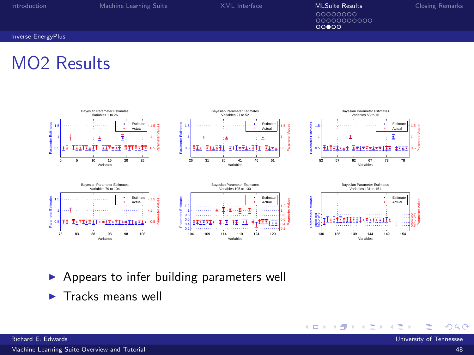[Introduction](#page-2-0) [Machine Learning Suite](#page-11-0) [XML Interface](#page-20-0) **[MLSuite Results](#page-27-0)** [Closing Remarks](#page-52-0)<br>
00000000 ၜၜၜၜၜၜၜၜၜၜၜၜ<br>ၜၜၜၜၜ

イロト イ押ト イヨト イヨ

#### [Inverse EnergyPlus](#page-49-0)

### MO2 Results



 $\blacktriangleright$  Appears to infer building parameters well

 $\blacktriangleright$  Tracks means well

<span id="page-49-0"></span>×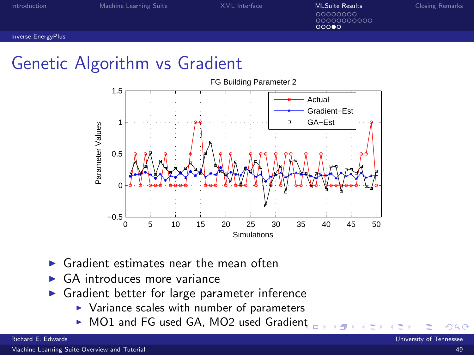[Introduction](#page-2-0) **[Machine Learning Suite](#page-11-0)** MACHINE MACHINE MESS AND INTERFACE MESS AND **[MLSuite Results](#page-27-0)** [Closing Remarks](#page-52-0) 00000000 0000000000 റററൈ

[Inverse EnergyPlus](#page-50-0)

### Genetic Algorithm vs Gradient



- Gradient estimates near the mean often
- GA introduces more variance
- <span id="page-50-0"></span> $\triangleright$  Gradient better for large parameter inference
	- $\triangleright$  Variance scales with number of parameters
	- ▶ MO1 and FG used GA, MO2 used Gradie[nt](#page-49-0)

Richard E. Edwards University of Tennessee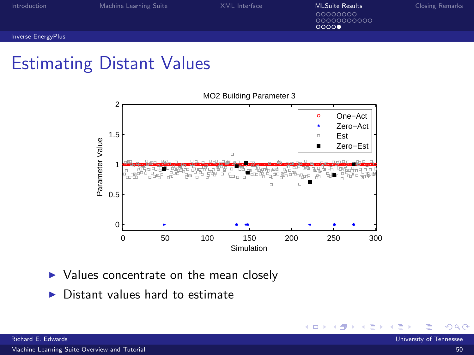[Introduction](#page-2-0) [Machine Learning Suite](#page-11-0) MESUL Interface Musquite Mesults [Closing Remarks](#page-52-0)<br>
00000000 0000000000

 $00000$ 

<span id="page-51-0"></span>**∢ ロ ▶ - ィ <sub>印</sub>** 

[Inverse EnergyPlus](#page-51-0)

### Estimating Distant Values



- $\triangleright$  Values concentrate on the mean closely
- $\triangleright$  Distant values hard to estimate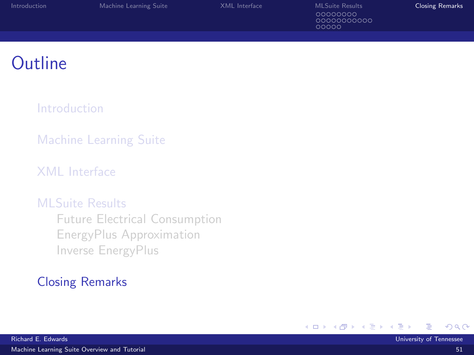| Introduction | Machine Learning Suite | XML Interface | <b>MLSuite Results</b>          | <b>Closing Remarks</b> |
|--------------|------------------------|---------------|---------------------------------|------------------------|
|              |                        |               | 00000000<br>0000000000<br>00000 |                        |
|              |                        |               |                                 |                        |

### **Outline**

[Introduction](#page-2-0)

[Machine Learning Suite](#page-11-0)

[XML Interface](#page-20-0)

#### [MLSuite Results](#page-27-0)

[Future Electrical Consumption](#page-28-0) [EnergyPlus Approximation](#page-36-0) [Inverse EnergyPlus](#page-47-0)

#### [Closing Remarks](#page-52-0)

<span id="page-52-0"></span>ヨメ イヨ ×.

K □ ▶ K 倒 ▶